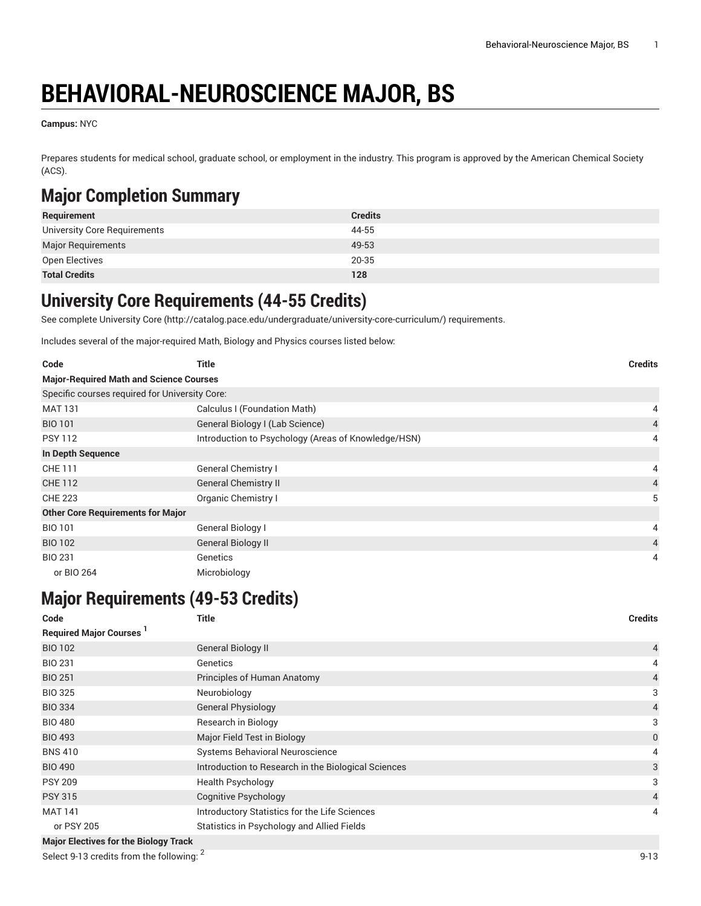# **BEHAVIORAL-NEUROSCIENCE MAJOR, BS**

**Campus:** NYC

Prepares students for medical school, graduate school, or employment in the industry. This program is approved by the American Chemical Society (ACS).

## **Major Completion Summary**

| Requirement                  | <b>Credits</b> |
|------------------------------|----------------|
| University Core Requirements | 44-55          |
| <b>Major Requirements</b>    | 49-53          |
| Open Electives               | 20-35          |
| <b>Total Credits</b>         | 128            |

### **University Core Requirements (44-55 Credits)**

See complete [University](http://catalog.pace.edu/undergraduate/university-core-curriculum/) Core (<http://catalog.pace.edu/undergraduate/university-core-curriculum/>) requirements.

Includes several of the major-required Math, Biology and Physics courses listed below:

| Code                                           | Title                                               | <b>Credits</b> |
|------------------------------------------------|-----------------------------------------------------|----------------|
| <b>Major-Required Math and Science Courses</b> |                                                     |                |
| Specific courses required for University Core: |                                                     |                |
| <b>MAT 131</b>                                 | Calculus I (Foundation Math)                        | 4              |
| <b>BIO 101</b>                                 | General Biology I (Lab Science)                     | $\overline{4}$ |
| <b>PSY 112</b>                                 | Introduction to Psychology (Areas of Knowledge/HSN) | 4              |
| In Depth Sequence                              |                                                     |                |
| <b>CHE 111</b>                                 | <b>General Chemistry I</b>                          | 4              |
| <b>CHE 112</b>                                 | <b>General Chemistry II</b>                         | $\overline{4}$ |
| <b>CHE 223</b>                                 | Organic Chemistry I                                 | 5              |
| <b>Other Core Requirements for Major</b>       |                                                     |                |
| <b>BIO 101</b>                                 | General Biology I                                   | 4              |
| <b>BIO 102</b>                                 | General Biology II                                  | $\overline{4}$ |
| <b>BIO 231</b>                                 | Genetics                                            | 4              |
| or BIO 264                                     | Microbiology                                        |                |

### **Major Requirements (49-53 Credits)**

| Code                                         | <b>Title</b>                                        | <b>Credits</b> |
|----------------------------------------------|-----------------------------------------------------|----------------|
| <b>Required Major Courses</b>                |                                                     |                |
| <b>BIO 102</b>                               | General Biology II                                  | $\overline{4}$ |
| <b>BIO 231</b>                               | Genetics                                            | 4              |
| <b>BIO 251</b>                               | Principles of Human Anatomy                         | $\overline{4}$ |
| <b>BIO 325</b>                               | Neurobiology                                        | 3              |
| <b>BIO 334</b>                               | <b>General Physiology</b>                           | $\overline{4}$ |
| <b>BIO 480</b>                               | Research in Biology                                 | 3              |
| <b>BIO 493</b>                               | Major Field Test in Biology                         | $\mathbf 0$    |
| <b>BNS 410</b>                               | <b>Systems Behavioral Neuroscience</b>              | 4              |
| <b>BIO 490</b>                               | Introduction to Research in the Biological Sciences | 3              |
| <b>PSY 209</b>                               | Health Psychology                                   | 3              |
| <b>PSY 315</b>                               | <b>Cognitive Psychology</b>                         | $\overline{4}$ |
| <b>MAT 141</b>                               | Introductory Statistics for the Life Sciences       | 4              |
| or PSY 205                                   | Statistics in Psychology and Allied Fields          |                |
| <b>Major Electives for the Biology Track</b> |                                                     |                |

Select 9-13 credits from the following: 2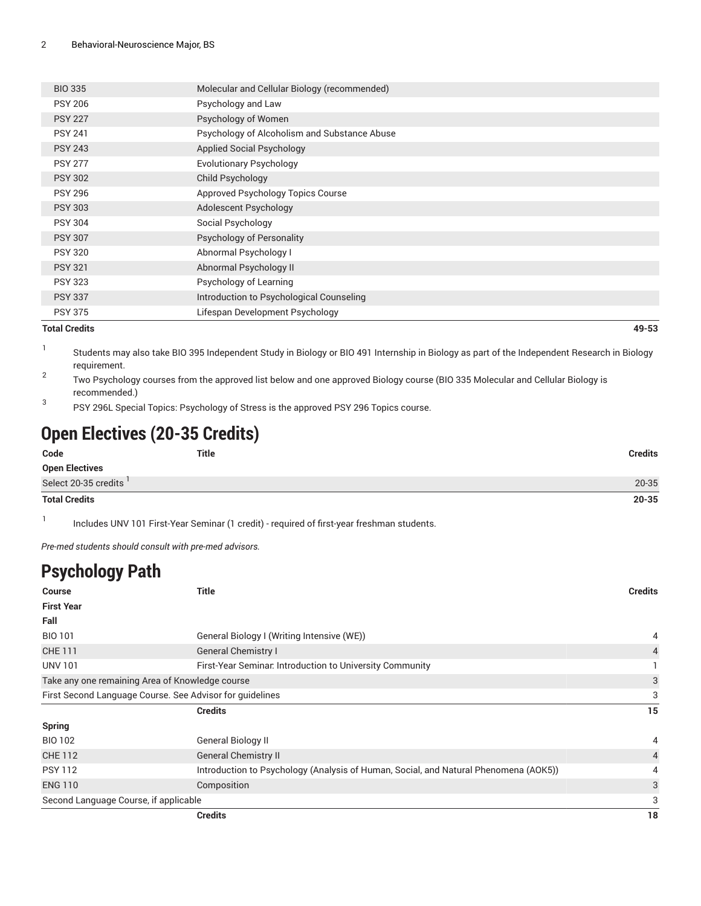| <b>BIO 335</b> | Molecular and Cellular Biology (recommended) |
|----------------|----------------------------------------------|
| <b>PSY 206</b> | Psychology and Law                           |
| <b>PSY 227</b> | Psychology of Women                          |
| <b>PSY 241</b> | Psychology of Alcoholism and Substance Abuse |
| <b>PSY 243</b> | <b>Applied Social Psychology</b>             |
| <b>PSY 277</b> | <b>Evolutionary Psychology</b>               |
| <b>PSY 302</b> | Child Psychology                             |
| <b>PSY 296</b> | Approved Psychology Topics Course            |
| <b>PSY 303</b> | Adolescent Psychology                        |
| <b>PSY 304</b> | Social Psychology                            |
| <b>PSY 307</b> | Psychology of Personality                    |
| <b>PSY 320</b> | Abnormal Psychology I                        |
| <b>PSY 321</b> | Abnormal Psychology II                       |
| <b>PSY 323</b> | Psychology of Learning                       |
| <b>PSY 337</b> | Introduction to Psychological Counseling     |
| <b>PSY 375</b> | Lifespan Development Psychology              |
|                |                                              |

#### **Total Credits 49-53**

- 1 Students may also take BIO 395 Independent Study in Biology or BIO 491 Internship in Biology as part of the Independent Research in Biology requirement.
- 2 Two Psychology courses from the approved list below and one approved Biology course (BIO 335 Molecular and Cellular Biology is recommended.)
- 3 PSY 296L Special Topics: Psychology of Stress is the approved PSY 296 Topics course.

# **Open Electives (20-35 Credits)**

| Code                  | <b>Title</b> | <b>Credits</b> |
|-----------------------|--------------|----------------|
| <b>Open Electives</b> |              |                |
| Select 20-35 credits  |              | 20-35          |
| <b>Total Credits</b>  |              | $20 - 35$      |

1 Includes [UNV 101](/search/?P=UNV%20101) First-Year Seminar (1 credit) - required of first-year freshman students.

*Pre-med students should consult with pre-med advisors.*

# **Psychology Path**

| <b>Course</b>                         | <b>Title</b>                                                                         | <b>Credits</b> |
|---------------------------------------|--------------------------------------------------------------------------------------|----------------|
| <b>First Year</b>                     |                                                                                      |                |
| Fall                                  |                                                                                      |                |
| <b>BIO 101</b>                        | General Biology I (Writing Intensive (WE))                                           | 4              |
| <b>CHE 111</b>                        | <b>General Chemistry I</b>                                                           | 4              |
| <b>UNV 101</b>                        | First-Year Seminar. Introduction to University Community                             |                |
|                                       | Take any one remaining Area of Knowledge course                                      | 3              |
|                                       | First Second Language Course. See Advisor for guidelines                             | 3              |
|                                       | <b>Credits</b>                                                                       | 15             |
| <b>Spring</b>                         |                                                                                      |                |
| BIO 102                               | General Biology II                                                                   | 4              |
| <b>CHE 112</b>                        | <b>General Chemistry II</b>                                                          | $\overline{4}$ |
| <b>PSY 112</b>                        | Introduction to Psychology (Analysis of Human, Social, and Natural Phenomena (AOK5)) | 4              |
| <b>ENG 110</b>                        | Composition                                                                          | 3              |
| Second Language Course, if applicable |                                                                                      | 3              |
|                                       | <b>Credits</b>                                                                       | 18             |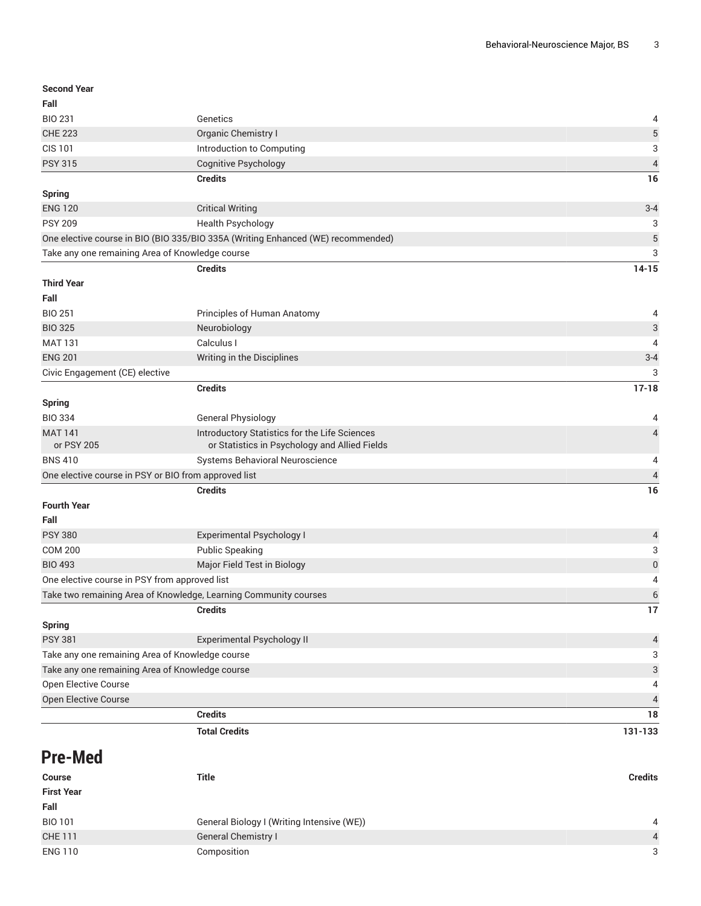| <b>Second Year</b>                              |                                                                                  |                          |
|-------------------------------------------------|----------------------------------------------------------------------------------|--------------------------|
| Fall                                            |                                                                                  |                          |
| <b>BIO 231</b>                                  | Genetics                                                                         | 4                        |
| <b>CHE 223</b>                                  | Organic Chemistry I                                                              | 5                        |
| <b>CIS 101</b>                                  | Introduction to Computing                                                        | 3                        |
| <b>PSY 315</b>                                  | <b>Cognitive Psychology</b>                                                      | $\overline{\mathcal{L}}$ |
|                                                 | <b>Credits</b>                                                                   | 16                       |
| Spring                                          |                                                                                  |                          |
| <b>ENG 120</b>                                  | <b>Critical Writing</b>                                                          | $3 - 4$                  |
| <b>PSY 209</b>                                  | <b>Health Psychology</b>                                                         | 3                        |
|                                                 | One elective course in BIO (BIO 335/BIO 335A (Writing Enhanced (WE) recommended) | 5                        |
| Take any one remaining Area of Knowledge course |                                                                                  | 3                        |
|                                                 | <b>Credits</b>                                                                   | $14 - 15$                |
| <b>Third Year</b>                               |                                                                                  |                          |
| Fall                                            |                                                                                  |                          |
| <b>BIO 251</b>                                  | Principles of Human Anatomy                                                      | 4                        |
| <b>BIO 325</b>                                  | Neurobiology                                                                     | 3                        |
| <b>MAT 131</b>                                  | Calculus I                                                                       | 4                        |
| <b>ENG 201</b>                                  | Writing in the Disciplines                                                       | $3 - 4$                  |
| Civic Engagement (CE) elective                  |                                                                                  | 3                        |
|                                                 | <b>Credits</b>                                                                   | $17 - 18$                |
| <b>Spring</b>                                   |                                                                                  |                          |
| <b>BIO 334</b>                                  | General Physiology                                                               | 4                        |
| <b>MAT 141</b>                                  | Introductory Statistics for the Life Sciences                                    | 4                        |
| or PSY 205                                      | or Statistics in Psychology and Allied Fields                                    |                          |
| <b>BNS 410</b>                                  | Systems Behavioral Neuroscience                                                  | 4                        |
|                                                 | One elective course in PSY or BIO from approved list                             | 4                        |
|                                                 | <b>Credits</b>                                                                   | 16                       |
| <b>Fourth Year</b>                              |                                                                                  |                          |
| Fall                                            |                                                                                  |                          |
| <b>PSY 380</b>                                  | Experimental Psychology I                                                        | 4                        |
| <b>COM 200</b>                                  | <b>Public Speaking</b>                                                           | 3                        |
| <b>BIO 493</b>                                  | Major Field Test in Biology                                                      | $\boldsymbol{0}$         |
| One elective course in PSY from approved list   |                                                                                  | 4                        |
|                                                 | Take two remaining Area of Knowledge, Learning Community courses                 | 6                        |
|                                                 | <b>Credits</b>                                                                   | 17                       |
| <b>Spring</b>                                   |                                                                                  |                          |
| <b>PSY 381</b>                                  | Experimental Psychology II                                                       | 4                        |
|                                                 | Take any one remaining Area of Knowledge course                                  | 3                        |
| Take any one remaining Area of Knowledge course |                                                                                  | 3                        |
| Open Elective Course                            |                                                                                  | 4                        |
| Open Elective Course                            |                                                                                  | 4                        |
|                                                 | <b>Credits</b>                                                                   | 18                       |
|                                                 | <b>Total Credits</b>                                                             | 131-133                  |

# **Pre-Med**

| <b>Course</b>     | Title                                      | <b>Credits</b> |
|-------------------|--------------------------------------------|----------------|
| <b>First Year</b> |                                            |                |
| Fall              |                                            |                |
| <b>BIO 101</b>    | General Biology I (Writing Intensive (WE)) | 4              |
| <b>CHE 111</b>    | <b>General Chemistry I</b>                 | $\overline{4}$ |
| <b>ENG 110</b>    | Composition                                | 3              |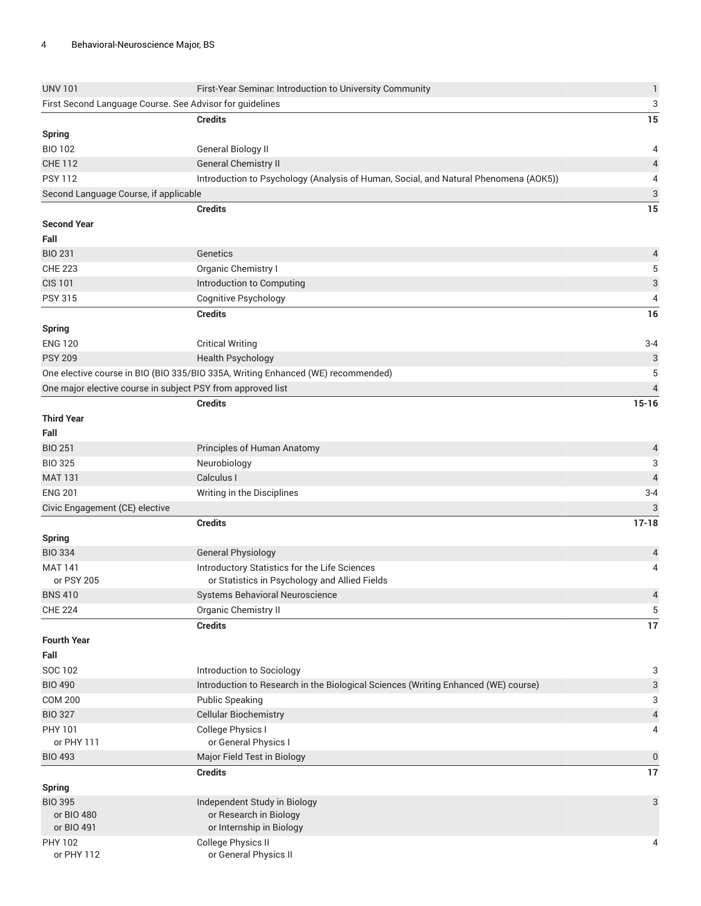| <b>UNV 101</b>                                              | First-Year Seminar. Introduction to University Community                             | $\mathbf{1}$              |
|-------------------------------------------------------------|--------------------------------------------------------------------------------------|---------------------------|
| First Second Language Course. See Advisor for guidelines    |                                                                                      | 3                         |
|                                                             | <b>Credits</b>                                                                       | 15                        |
| <b>Spring</b>                                               |                                                                                      |                           |
| <b>BIO 102</b>                                              | General Biology II                                                                   | 4                         |
| <b>CHE 112</b>                                              | <b>General Chemistry II</b>                                                          | $\overline{4}$            |
| <b>PSY 112</b>                                              | Introduction to Psychology (Analysis of Human, Social, and Natural Phenomena (AOK5)) | 4                         |
| Second Language Course, if applicable                       |                                                                                      | $\ensuremath{\mathsf{3}}$ |
|                                                             | <b>Credits</b>                                                                       | 15                        |
| <b>Second Year</b>                                          |                                                                                      |                           |
| Fall                                                        |                                                                                      |                           |
| <b>BIO 231</b>                                              | Genetics                                                                             | 4                         |
| <b>CHE 223</b>                                              | Organic Chemistry I                                                                  | 5                         |
| <b>CIS 101</b>                                              | Introduction to Computing                                                            | $\ensuremath{\mathsf{3}}$ |
| <b>PSY 315</b>                                              | Cognitive Psychology                                                                 | 4                         |
|                                                             | <b>Credits</b>                                                                       | 16                        |
| <b>Spring</b>                                               |                                                                                      |                           |
| <b>ENG 120</b>                                              | <b>Critical Writing</b>                                                              | $3 - 4$                   |
| <b>PSY 209</b>                                              | <b>Health Psychology</b>                                                             | 3                         |
|                                                             | One elective course in BIO (BIO 335/BIO 335A, Writing Enhanced (WE) recommended)     | 5                         |
| One major elective course in subject PSY from approved list |                                                                                      | $\overline{4}$            |
|                                                             | <b>Credits</b>                                                                       | $15 - 16$                 |
| <b>Third Year</b>                                           |                                                                                      |                           |
| Fall                                                        |                                                                                      |                           |
| <b>BIO 251</b>                                              | Principles of Human Anatomy                                                          | 4                         |
| <b>BIO 325</b>                                              | Neurobiology                                                                         | 3                         |
| <b>MAT 131</b>                                              | Calculus I                                                                           | $\overline{4}$            |
| <b>ENG 201</b>                                              | Writing in the Disciplines                                                           | $3 - 4$                   |
| Civic Engagement (CE) elective                              |                                                                                      | 3                         |
|                                                             | <b>Credits</b>                                                                       | $17 - 18$                 |
| <b>Spring</b>                                               |                                                                                      |                           |
| <b>BIO 334</b>                                              | <b>General Physiology</b>                                                            | 4                         |
| <b>MAT 141</b>                                              | Introductory Statistics for the Life Sciences                                        | 4                         |
| or PSY 205                                                  | or Statistics in Psychology and Allied Fields                                        |                           |
| <b>BNS 410</b>                                              | Systems Behavioral Neuroscience                                                      | $\overline{\mathcal{L}}$  |
| <b>CHE 224</b>                                              | Organic Chemistry II                                                                 | 5                         |
|                                                             | <b>Credits</b>                                                                       | 17                        |
| <b>Fourth Year</b>                                          |                                                                                      |                           |
| Fall                                                        |                                                                                      |                           |
| SOC 102                                                     | Introduction to Sociology                                                            | 3                         |
| <b>BIO 490</b>                                              | Introduction to Research in the Biological Sciences (Writing Enhanced (WE) course)   | 3                         |
| <b>COM 200</b>                                              | <b>Public Speaking</b>                                                               | 3                         |
| <b>BIO 327</b>                                              | <b>Cellular Biochemistry</b>                                                         | $\overline{4}$            |
| PHY 101                                                     | College Physics I                                                                    | 4                         |
| or PHY 111                                                  | or General Physics I                                                                 |                           |
| <b>BIO 493</b>                                              | Major Field Test in Biology                                                          | $\pmb{0}$                 |
|                                                             | <b>Credits</b>                                                                       | 17                        |
| <b>Spring</b>                                               |                                                                                      |                           |
| <b>BIO 395</b><br>or BIO 480                                | Independent Study in Biology<br>or Research in Biology                               | 3                         |
| or BIO 491                                                  | or Internship in Biology                                                             |                           |
| PHY 102                                                     | <b>College Physics II</b>                                                            | 4                         |
| or PHY 112                                                  | or General Physics II                                                                |                           |
|                                                             |                                                                                      |                           |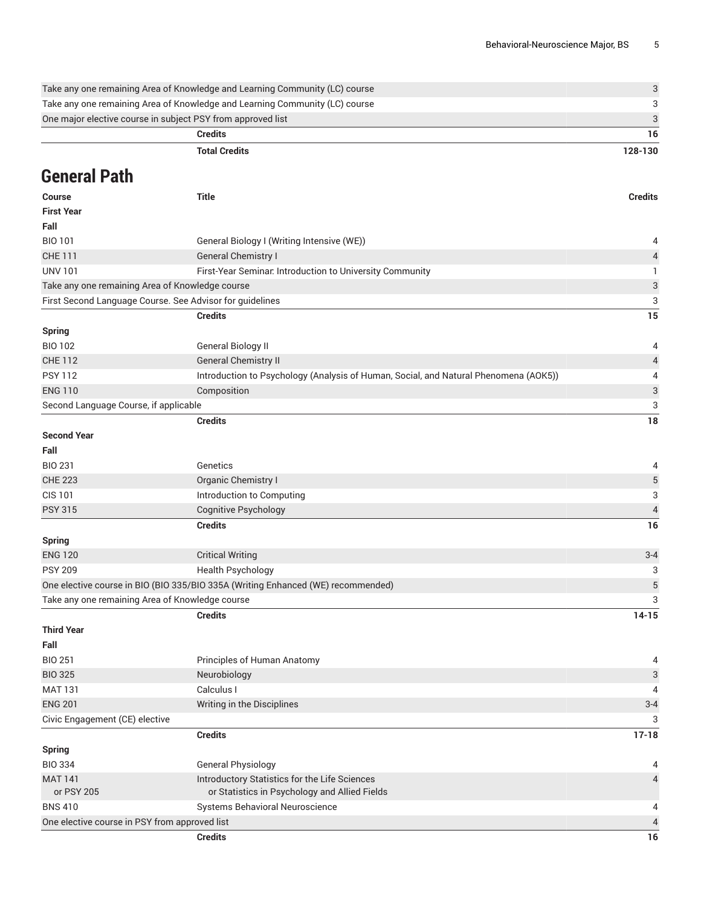|                                               | Take any one remaining Area of Knowledge and Learning Community (LC) course          | 3                         |
|-----------------------------------------------|--------------------------------------------------------------------------------------|---------------------------|
|                                               | Take any one remaining Area of Knowledge and Learning Community (LC) course          | 3                         |
|                                               | One major elective course in subject PSY from approved list                          | $\ensuremath{\mathsf{3}}$ |
|                                               | <b>Credits</b>                                                                       | 16                        |
|                                               | <b>Total Credits</b>                                                                 | 128-130                   |
|                                               |                                                                                      |                           |
| General Path                                  |                                                                                      |                           |
| <b>Course</b>                                 | <b>Title</b>                                                                         | <b>Credits</b>            |
| <b>First Year</b>                             |                                                                                      |                           |
| Fall                                          |                                                                                      |                           |
| <b>BIO 101</b>                                | General Biology I (Writing Intensive (WE))                                           | 4                         |
| <b>CHE 111</b>                                | <b>General Chemistry I</b>                                                           | 4                         |
| <b>UNV 101</b>                                | First-Year Seminar. Introduction to University Community                             | $\mathbf{1}$              |
|                                               | Take any one remaining Area of Knowledge course                                      | $\ensuremath{\mathsf{3}}$ |
|                                               | First Second Language Course. See Advisor for guidelines                             | 3                         |
|                                               | <b>Credits</b>                                                                       | 15                        |
| <b>Spring</b>                                 |                                                                                      |                           |
| <b>BIO 102</b>                                | <b>General Biology II</b>                                                            | 4                         |
| <b>CHE 112</b>                                | <b>General Chemistry II</b>                                                          | 4                         |
| <b>PSY 112</b>                                | Introduction to Psychology (Analysis of Human, Social, and Natural Phenomena (AOK5)) | 4                         |
| <b>ENG 110</b>                                | Composition                                                                          | $\ensuremath{\mathsf{3}}$ |
| Second Language Course, if applicable         |                                                                                      | 3                         |
|                                               | <b>Credits</b>                                                                       | 18                        |
| <b>Second Year</b>                            |                                                                                      |                           |
| Fall                                          |                                                                                      |                           |
| <b>BIO 231</b>                                | Genetics                                                                             | 4                         |
| <b>CHE 223</b>                                | Organic Chemistry I                                                                  | 5                         |
| <b>CIS 101</b>                                | Introduction to Computing                                                            | 3                         |
| <b>PSY 315</b>                                | <b>Cognitive Psychology</b>                                                          | 4                         |
|                                               | <b>Credits</b>                                                                       | 16                        |
| <b>Spring</b>                                 |                                                                                      |                           |
| <b>ENG 120</b>                                | <b>Critical Writing</b>                                                              | $3 - 4$                   |
| <b>PSY 209</b>                                | <b>Health Psychology</b>                                                             | 3                         |
|                                               | One elective course in BIO (BIO 335/BIO 335A (Writing Enhanced (WE) recommended)     | $\mathbf 5$               |
|                                               | Take any one remaining Area of Knowledge course                                      | 3                         |
|                                               | <b>Credits</b>                                                                       | $14 - 15$                 |
| <b>Third Year</b><br>Fall                     |                                                                                      |                           |
| <b>BIO 251</b>                                | Principles of Human Anatomy                                                          | 4                         |
| <b>BIO 325</b>                                | Neurobiology                                                                         | 3                         |
| <b>MAT 131</b>                                | Calculus I                                                                           | 4                         |
| <b>ENG 201</b>                                | Writing in the Disciplines                                                           | $3 - 4$                   |
| Civic Engagement (CE) elective                |                                                                                      | 3                         |
|                                               | <b>Credits</b>                                                                       | $17 - 18$                 |
| <b>Spring</b>                                 |                                                                                      |                           |
| <b>BIO 334</b>                                | <b>General Physiology</b>                                                            | 4                         |
| <b>MAT 141</b>                                | Introductory Statistics for the Life Sciences                                        | 4                         |
| or PSY 205                                    | or Statistics in Psychology and Allied Fields                                        |                           |
| <b>BNS 410</b>                                | Systems Behavioral Neuroscience                                                      | 4                         |
| One elective course in PSY from approved list |                                                                                      | 4                         |
|                                               | <b>Credits</b>                                                                       | 16                        |